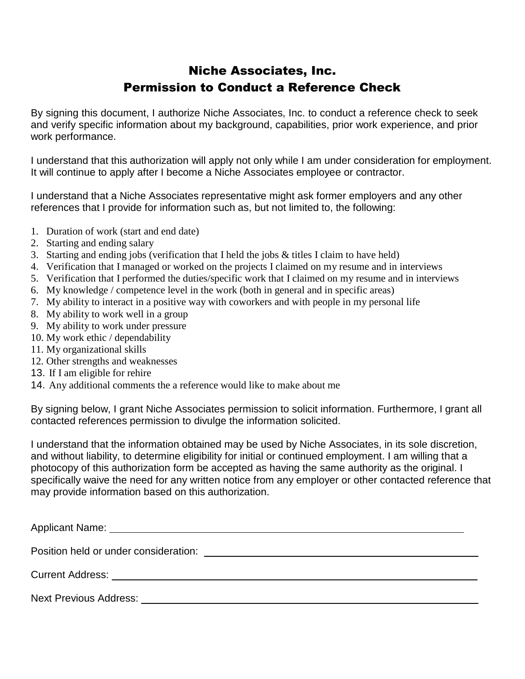## Niche Associates, Inc. Permission to Conduct a Reference Check

By signing this document, I authorize Niche Associates, Inc. to conduct a reference check to seek and verify specific information about my background, capabilities, prior work experience, and prior work performance.

I understand that this authorization will apply not only while I am under consideration for employment. It will continue to apply after I become a Niche Associates employee or contractor.

I understand that a Niche Associates representative might ask former employers and any other references that I provide for information such as, but not limited to, the following:

- 1. Duration of work (start and end date)
- 2. Starting and ending salary
- 3. Starting and ending jobs (verification that I held the jobs & titles I claim to have held)
- 4. Verification that I managed or worked on the projects I claimed on my resume and in interviews
- 5. Verification that I performed the duties/specific work that I claimed on my resume and in interviews
- 6. My knowledge / competence level in the work (both in general and in specific areas)
- 7. My ability to interact in a positive way with coworkers and with people in my personal life
- 8. My ability to work well in a group
- 9. My ability to work under pressure
- 10. My work ethic / dependability
- 11. My organizational skills
- 12. Other strengths and weaknesses
- 13. If I am eligible for rehire
- 14. Any additional comments the a reference would like to make about me

By signing below, I grant Niche Associates permission to solicit information. Furthermore, I grant all contacted references permission to divulge the information solicited.

I understand that the information obtained may be used by Niche Associates, in its sole discretion, and without liability, to determine eligibility for initial or continued employment. I am willing that a photocopy of this authorization form be accepted as having the same authority as the original. I specifically waive the need for any written notice from any employer or other contacted reference that may provide information based on this authorization.

| Position held or under consideration: example and a set of the set of the set of the set of the set of the set of the set of the set of the set of the set of the set of the set of the set of the set of the set of the set o |
|--------------------------------------------------------------------------------------------------------------------------------------------------------------------------------------------------------------------------------|
| Current Address: No. 1996. The Contract of the Current Address:                                                                                                                                                                |
| Next Previous Address:                                                                                                                                                                                                         |